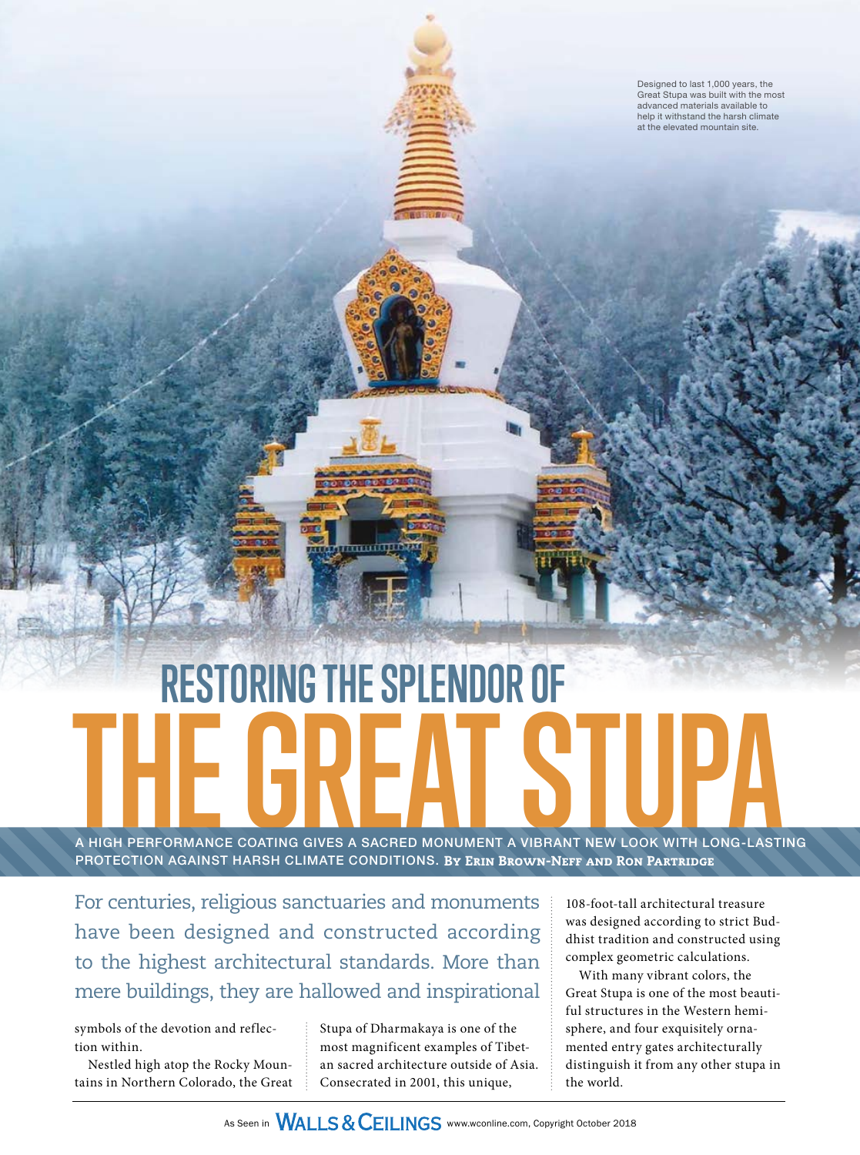Designed to last 1,000 years, the Great Stupa was built with the most advanced materials available to help it withstand the harsh climate at the elevated mountain site.

# **RESTORING THE SPLENDOR OF** A HIGH PERFORMANCE COATING GIVES A SACRED MONUMENT A VIBRANT NEW LOOK WITH LONG-LAST

 $\overline{\mathbf{m}}$ mi $\overline{\mathbf{m}}$ 

A HIGH PERFORMANCE COATING GIVES A SACRED MONUMENT A VIBRANT NEW LOOK WITH LONG-LASTING PROTECTION AGAINST HARSH CLIMATE CONDITIONS. By Erin Brown-Neff and Ron Partridge

For centuries, religious sanctuaries and monuments have been designed and constructed according to the highest architectural standards. More than mere buildings, they are hallowed and inspirational

symbols of the devotion and reflection within.

Nestled high atop the Rocky Mountains in Northern Colorado, the Great Stupa of Dharmakaya is one of the most magnificent examples of Tibetan sacred architecture outside of Asia. Consecrated in 2001, this unique,

108-foot-tall architectural treasure was designed according to strict Buddhist tradition and constructed using complex geometric calculations.

With many vibrant colors, the Great Stupa is one of the most beautiful structures in the Western hemisphere, and four exquisitely ornamented entry gates architecturally distinguish it from any other stupa in the world.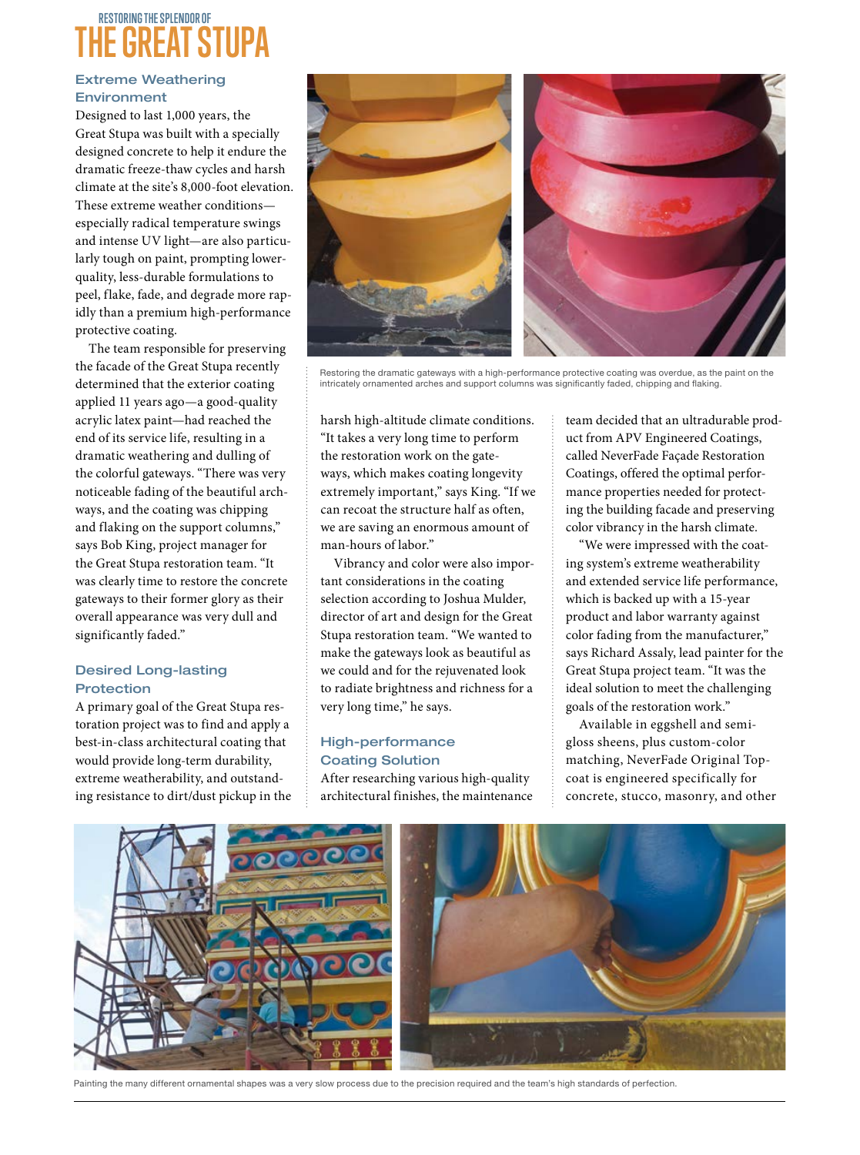# **RESTORING THE SPLENDOR OF THE GREAT STUPA**

# Extreme Weathering **Environment**

Designed to last 1,000 years, the Great Stupa was built with a specially designed concrete to help it endure the dramatic freeze-thaw cycles and harsh climate at the site's 8,000-foot elevation. These extreme weather conditions especially radical temperature swings and intense UV light—are also particularly tough on paint, prompting lowerquality, less-durable formulations to peel, flake, fade, and degrade more rapidly than a premium high-performance protective coating.

The team responsible for preserving the facade of the Great Stupa recently determined that the exterior coating applied 11 years ago—a good-quality acrylic latex paint—had reached the end of its service life, resulting in a dramatic weathering and dulling of the colorful gateways. "There was very noticeable fading of the beautiful archways, and the coating was chipping and flaking on the support columns," says Bob King, project manager for the Great Stupa restoration team. "It was clearly time to restore the concrete gateways to their former glory as their overall appearance was very dull and significantly faded."

### Desired Long-lasting Protection

A primary goal of the Great Stupa restoration project was to find and apply a best-in-class architectural coating that would provide long-term durability, extreme weatherability, and outstanding resistance to dirt/dust pickup in the



Restoring the dramatic gateways with a high-performance protective coating was overdue, as the paint on the intricately ornamented arches and support columns was significantly faded, chipping and flaking.

harsh high-altitude climate conditions. "It takes a very long time to perform the restoration work on the gateways, which makes coating longevity extremely important," says King. "If we can recoat the structure half as often, we are saving an enormous amount of man-hours of labor."

Vibrancy and color were also important considerations in the coating selection according to Joshua Mulder, director of art and design for the Great Stupa restoration team. "We wanted to make the gateways look as beautiful as we could and for the rejuvenated look to radiate brightness and richness for a very long time," he says.

# High-performance Coating Solution

After researching various high-quality architectural finishes, the maintenance team decided that an ultradurable product from APV Engineered Coatings, called NeverFade Façade Restoration Coatings, offered the optimal performance properties needed for protecting the building facade and preserving color vibrancy in the harsh climate.

"We were impressed with the coating system's extreme weatherability and extended service life performance, which is backed up with a 15-year product and labor warranty against color fading from the manufacturer," says Richard Assaly, lead painter for the Great Stupa project team. "It was the ideal solution to meet the challenging goals of the restoration work."

Available in eggshell and semigloss sheens, plus custom-color matching, NeverFade Original Topcoat is engineered specifically for concrete, stucco, masonry, and other



Painting the many different ornamental shapes was a very slow process due to the precision required and the team's high standards of perfection.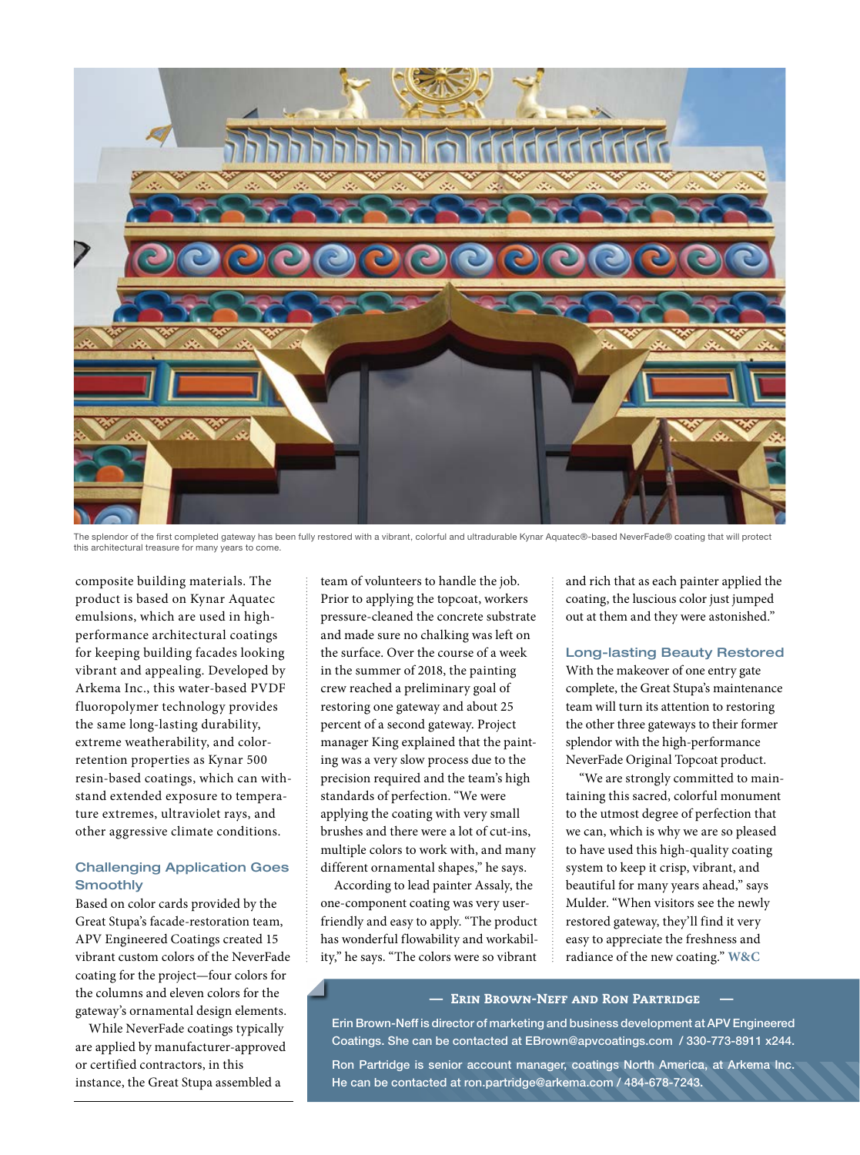

The splendor of the first completed gateway has been fully restored with a vibrant, colorful and ultradurable Kynar Aquatec®-based NeverFade® coating that will protect this architectural treasure for many years to come.

composite building materials. The product is based on Kynar Aquatec emulsions, which are used in highperformance architectural coatings for keeping building facades looking vibrant and appealing. Developed by Arkema Inc., this water-based PVDF fluoropolymer technology provides the same long-lasting durability, extreme weatherability, and colorretention properties as Kynar 500 resin-based coatings, which can withstand extended exposure to temperature extremes, ultraviolet rays, and other aggressive climate conditions.

#### Challenging Application Goes **Smoothly**

Based on color cards provided by the Great Stupa's facade-restoration team, APV Engineered Coatings created 15 vibrant custom colors of the NeverFade coating for the project—four colors for the columns and eleven colors for the gateway's ornamental design elements.

While NeverFade coatings typically are applied by manufacturer-approved or certified contractors, in this instance, the Great Stupa assembled a

team of volunteers to handle the job. Prior to applying the topcoat, workers pressure-cleaned the concrete substrate and made sure no chalking was left on the surface. Over the course of a week in the summer of 2018, the painting crew reached a preliminary goal of restoring one gateway and about 25 percent of a second gateway. Project manager King explained that the painting was a very slow process due to the precision required and the team's high standards of perfection. "We were applying the coating with very small brushes and there were a lot of cut-ins, multiple colors to work with, and many different ornamental shapes," he says.

According to lead painter Assaly, the one-component coating was very userfriendly and easy to apply. "The product has wonderful flowability and workability," he says. "The colors were so vibrant and rich that as each painter applied the coating, the luscious color just jumped out at them and they were astonished."

#### Long-lasting Beauty Restored

With the makeover of one entry gate complete, the Great Stupa's maintenance team will turn its attention to restoring the other three gateways to their former splendor with the high-performance NeverFade Original Topcoat product.

"We are strongly committed to maintaining this sacred, colorful monument to the utmost degree of perfection that we can, which is why we are so pleased to have used this high-quality coating system to keep it crisp, vibrant, and beautiful for many years ahead," says Mulder. "When visitors see the newly restored gateway, they'll find it very easy to appreciate the freshness and radiance of the new coating." **W&C**

#### — Erin Brown-Neff and Ron Partridge —

Erin Brown-Neff is director of marketing and business development at APV Engineered Coatings. She can be contacted at EBrown@apvcoatings.com / 330-773-8911 x244. Ron Partridge is senior account manager, coatings North America, at Arkema Inc. He can be contacted at ron.partridge@arkema.com / 484-678-7243.